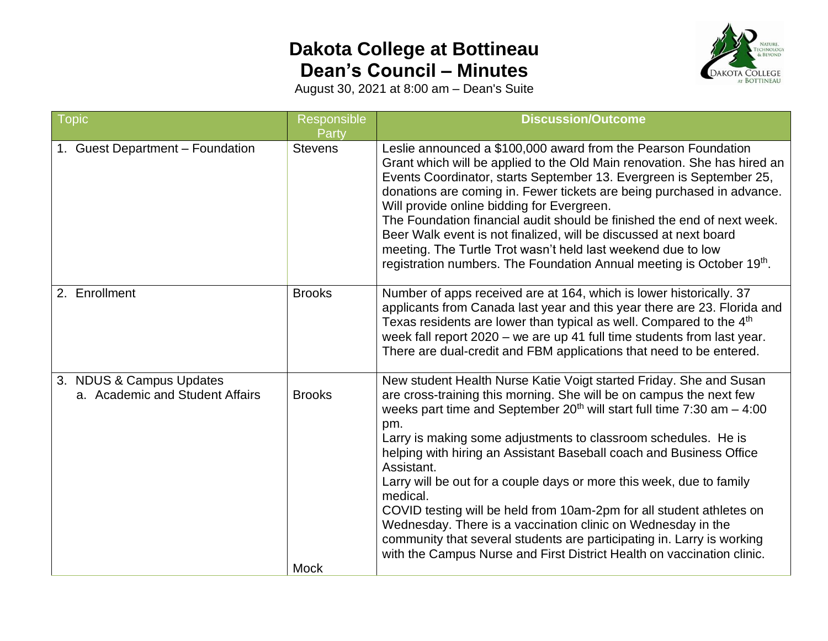## **Dakota College at Bottineau Dean's Council – Minutes**



August 30, 2021 at 8:00 am – Dean's Suite

| Topic                                                       | Responsible<br><b>Party</b>  | <b>Discussion/Outcome</b>                                                                                                                                                                                                                                                                                                                                                                                                                                                                                                                                                                                                                                                                                                                                             |
|-------------------------------------------------------------|------------------------------|-----------------------------------------------------------------------------------------------------------------------------------------------------------------------------------------------------------------------------------------------------------------------------------------------------------------------------------------------------------------------------------------------------------------------------------------------------------------------------------------------------------------------------------------------------------------------------------------------------------------------------------------------------------------------------------------------------------------------------------------------------------------------|
| 1. Guest Department - Foundation                            | <b>Stevens</b>               | Leslie announced a \$100,000 award from the Pearson Foundation<br>Grant which will be applied to the Old Main renovation. She has hired an<br>Events Coordinator, starts September 13. Evergreen is September 25,<br>donations are coming in. Fewer tickets are being purchased in advance.<br>Will provide online bidding for Evergreen.<br>The Foundation financial audit should be finished the end of next week.<br>Beer Walk event is not finalized, will be discussed at next board<br>meeting. The Turtle Trot wasn't held last weekend due to low<br>registration numbers. The Foundation Annual meeting is October 19th.                                                                                                                                     |
| 2. Enrollment                                               | <b>Brooks</b>                | Number of apps received are at 164, which is lower historically. 37<br>applicants from Canada last year and this year there are 23. Florida and<br>Texas residents are lower than typical as well. Compared to the 4 <sup>th</sup><br>week fall report 2020 – we are up 41 full time students from last year.<br>There are dual-credit and FBM applications that need to be entered.                                                                                                                                                                                                                                                                                                                                                                                  |
| 3. NDUS & Campus Updates<br>a. Academic and Student Affairs | <b>Brooks</b><br><b>Mock</b> | New student Health Nurse Katie Voigt started Friday. She and Susan<br>are cross-training this morning. She will be on campus the next few<br>weeks part time and September $20th$ will start full time 7:30 am $-$ 4:00<br>pm.<br>Larry is making some adjustments to classroom schedules. He is<br>helping with hiring an Assistant Baseball coach and Business Office<br>Assistant.<br>Larry will be out for a couple days or more this week, due to family<br>medical.<br>COVID testing will be held from 10am-2pm for all student athletes on<br>Wednesday. There is a vaccination clinic on Wednesday in the<br>community that several students are participating in. Larry is working<br>with the Campus Nurse and First District Health on vaccination clinic. |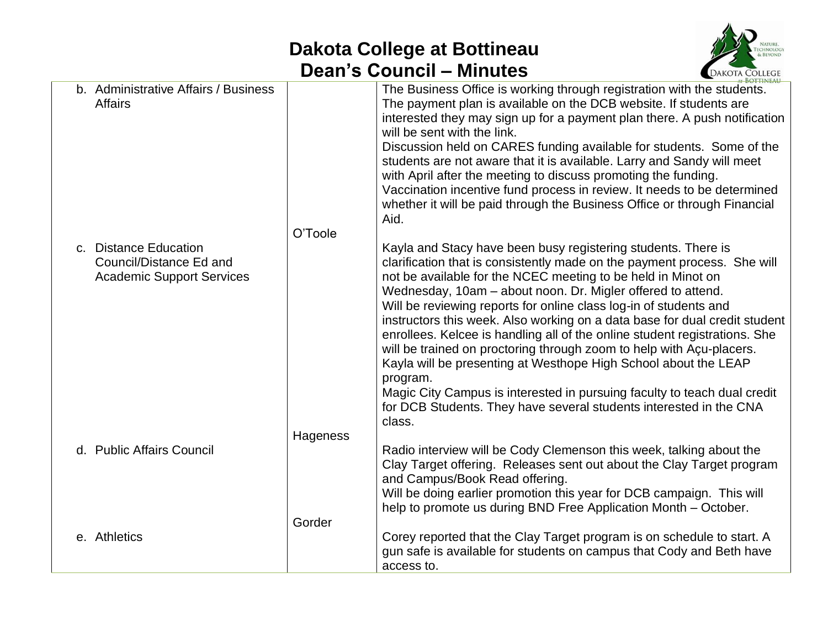## **Dakota College at Bottineau Dean's Council – Minutes**



|                                                                                      |          | <b>BOTTINEAU</b>                                                                                                                                                                                                                                                                                                                                                                                                                                                                                                                                                                                                                                                                                                                                                                                                             |
|--------------------------------------------------------------------------------------|----------|------------------------------------------------------------------------------------------------------------------------------------------------------------------------------------------------------------------------------------------------------------------------------------------------------------------------------------------------------------------------------------------------------------------------------------------------------------------------------------------------------------------------------------------------------------------------------------------------------------------------------------------------------------------------------------------------------------------------------------------------------------------------------------------------------------------------------|
| b. Administrative Affairs / Business<br><b>Affairs</b>                               | O'Toole  | The Business Office is working through registration with the students.<br>The payment plan is available on the DCB website. If students are<br>interested they may sign up for a payment plan there. A push notification<br>will be sent with the link.<br>Discussion held on CARES funding available for students. Some of the<br>students are not aware that it is available. Larry and Sandy will meet<br>with April after the meeting to discuss promoting the funding.<br>Vaccination incentive fund process in review. It needs to be determined<br>whether it will be paid through the Business Office or through Financial<br>Aid.                                                                                                                                                                                   |
| c. Distance Education<br>Council/Distance Ed and<br><b>Academic Support Services</b> |          | Kayla and Stacy have been busy registering students. There is<br>clarification that is consistently made on the payment process. She will<br>not be available for the NCEC meeting to be held in Minot on<br>Wednesday, 10am - about noon. Dr. Migler offered to attend.<br>Will be reviewing reports for online class log-in of students and<br>instructors this week. Also working on a data base for dual credit student<br>enrollees. Kelcee is handling all of the online student registrations. She<br>will be trained on proctoring through zoom to help with Açu-placers.<br>Kayla will be presenting at Westhope High School about the LEAP<br>program.<br>Magic City Campus is interested in pursuing faculty to teach dual credit<br>for DCB Students. They have several students interested in the CNA<br>class. |
| d. Public Affairs Council                                                            | Hageness | Radio interview will be Cody Clemenson this week, talking about the<br>Clay Target offering. Releases sent out about the Clay Target program<br>and Campus/Book Read offering.<br>Will be doing earlier promotion this year for DCB campaign. This will<br>help to promote us during BND Free Application Month - October.                                                                                                                                                                                                                                                                                                                                                                                                                                                                                                   |
| e. Athletics                                                                         | Gorder   | Corey reported that the Clay Target program is on schedule to start. A<br>gun safe is available for students on campus that Cody and Beth have<br>access to.                                                                                                                                                                                                                                                                                                                                                                                                                                                                                                                                                                                                                                                                 |